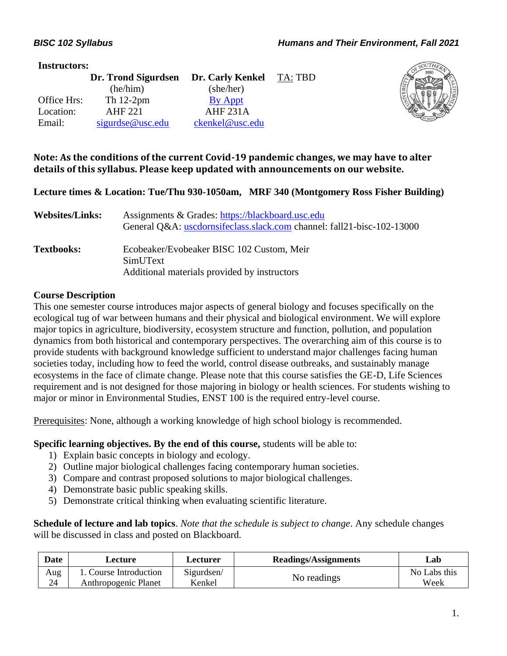#### **Instructors:**

|             | Dr. Trond Sigurdsen | Dr. Carly Kenkel | TA: TBD |
|-------------|---------------------|------------------|---------|
|             | (he/him)            | (she/her)        |         |
| Office Hrs: | Th $12-2$ pm        | By Appt          |         |
| Location:   | AHF 221             | <b>AHF 231A</b>  |         |
| Email:      | sigurdse@usc.edu    | ckenkel@usc.edu  |         |



#### **Note: As the conditions of the current Covid-19 pandemic changes, we may have to alter details of this syllabus. Please keep updated with announcements on our website.**

#### **Lecture times & Location: Tue/Thu 930-1050am, MRF 340 (Montgomery Ross Fisher Building)**

| <b>Websites/Links:</b> | Assignments & Grades: https://blackboard.usc.edu<br>General Q&A: uscdornsifeclass.slack.com channel: fall21-bisc-102-13000 |
|------------------------|----------------------------------------------------------------------------------------------------------------------------|
| <b>Textbooks:</b>      | Ecobeaker/Evobeaker BISC 102 Custom, Meir<br>SimUText<br>Additional materials provided by instructors                      |

#### **Course Description**

This one semester course introduces major aspects of general biology and focuses specifically on the ecological tug of war between humans and their physical and biological environment. We will explore major topics in agriculture, biodiversity, ecosystem structure and function, pollution, and population dynamics from both historical and contemporary perspectives. The overarching aim of this course is to provide students with background knowledge sufficient to understand major challenges facing human societies today, including how to feed the world, control disease outbreaks, and sustainably manage ecosystems in the face of climate change. Please note that this course satisfies the GE-D, Life Sciences requirement and is not designed for those majoring in biology or health sciences. For students wishing to major or minor in Environmental Studies, ENST 100 is the required entry-level course.

Prerequisites: None, although a working knowledge of high school biology is recommended.

**Specific learning objectives. By the end of this course,** students will be able to:

- 1) Explain basic concepts in biology and ecology.
- 2) Outline major biological challenges facing contemporary human societies.
- 3) Compare and contrast proposed solutions to major biological challenges.
- 4) Demonstrate basic public speaking skills.
- 5) Demonstrate critical thinking when evaluating scientific literature.

**Schedule of lecture and lab topics**. *Note that the schedule is subject to change*. Any schedule changes will be discussed in class and posted on Blackboard.

| Date | Lecture                | Lecturer   | <b>Readings/Assignments</b> | Lab          |
|------|------------------------|------------|-----------------------------|--------------|
| Aug  | 1. Course Introduction | Sigurdsen/ |                             | No Labs this |
| 24   | Anthropogenic Planet   | Kenkel     | No readings                 | Week         |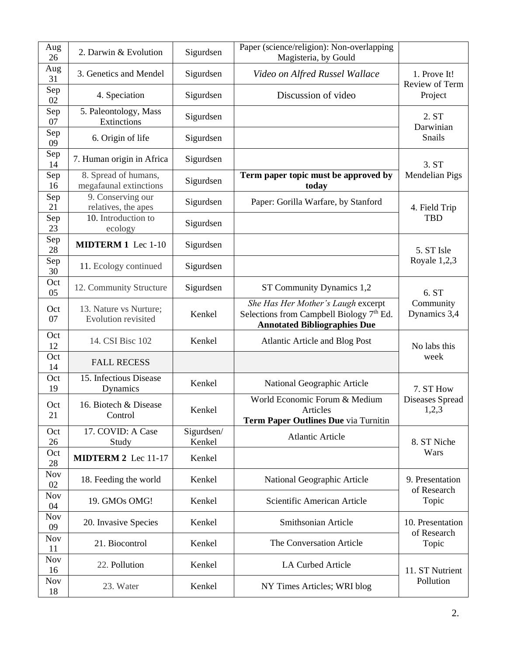| Aug<br>26        | 2. Darwin & Evolution                          | Sigurdsen            | Paper (science/religion): Non-overlapping<br>Magisteria, by Gould                                                     |                                 |  |
|------------------|------------------------------------------------|----------------------|-----------------------------------------------------------------------------------------------------------------------|---------------------------------|--|
| Aug<br>31        | 3. Genetics and Mendel                         | Sigurdsen            | Video on Alfred Russel Wallace                                                                                        | 1. Prove It!                    |  |
| Sep<br>02        | 4. Speciation                                  | Sigurdsen            | Discussion of video                                                                                                   | Review of Term<br>Project       |  |
| Sep<br>07        | 5. Paleontology, Mass<br>Extinctions           | Sigurdsen            |                                                                                                                       | 2. ST<br>Darwinian              |  |
| Sep<br>09        | 6. Origin of life                              | Sigurdsen            |                                                                                                                       | Snails                          |  |
| Sep<br>14        | 7. Human origin in Africa                      | Sigurdsen            |                                                                                                                       | 3. ST                           |  |
| Sep<br>16        | 8. Spread of humans,<br>megafaunal extinctions | Sigurdsen            | Term paper topic must be approved by<br>today                                                                         | Mendelian Pigs                  |  |
| Sep<br>21        | 9. Conserving our<br>relatives, the apes       | Sigurdsen            | Paper: Gorilla Warfare, by Stanford                                                                                   | 4. Field Trip                   |  |
| Sep<br>23        | 10. Introduction to<br>ecology                 | Sigurdsen            |                                                                                                                       | <b>TBD</b>                      |  |
| Sep<br>28        | <b>MIDTERM 1</b> Lec 1-10                      | Sigurdsen            |                                                                                                                       | 5. ST Isle                      |  |
| Sep<br>30        | 11. Ecology continued                          | Sigurdsen            |                                                                                                                       | Royale 1,2,3                    |  |
| Oct<br>05        | 12. Community Structure                        | Sigurdsen            | ST Community Dynamics 1,2                                                                                             | 6. ST                           |  |
| Oct<br>07        | 13. Nature vs Nurture;<br>Evolution revisited  | Kenkel               | She Has Her Mother's Laugh excerpt<br>Selections from Campbell Biology 7th Ed.<br><b>Annotated Bibliographies Due</b> | Community<br>Dynamics 3,4       |  |
| Oct<br>12        | 14. CSI Bisc 102                               | Kenkel               | <b>Atlantic Article and Blog Post</b>                                                                                 | No labs this                    |  |
| Oct<br>14        | <b>FALL RECESS</b>                             |                      |                                                                                                                       | week                            |  |
| Oct<br>19        | 15. Infectious Disease<br>Dynamics             | Kenkel               | National Geographic Article                                                                                           | 7. ST How                       |  |
| Oct<br>21        | 16. Biotech & Disease<br>Control               | Kenkel               | World Economic Forum & Medium<br>Articles<br>Term Paper Outlines Due via Turnitin                                     | Diseases Spread<br>1,2,3        |  |
| Oct<br>26        | 17. COVID: A Case<br>Study                     | Sigurdsen/<br>Kenkel | <b>Atlantic Article</b>                                                                                               | 8. ST Niche                     |  |
| Oct<br>28        | MIDTERM 2 Lec 11-17                            | Kenkel               |                                                                                                                       | Wars                            |  |
| <b>Nov</b><br>02 | 18. Feeding the world                          | Kenkel               | National Geographic Article                                                                                           | 9. Presentation                 |  |
| <b>Nov</b><br>04 | 19. GMOs OMG!                                  | Kenkel               | Scientific American Article                                                                                           | of Research<br>Topic            |  |
| <b>Nov</b><br>09 | 20. Invasive Species                           | Kenkel               | Smithsonian Article                                                                                                   | 10. Presentation<br>of Research |  |
| <b>Nov</b><br>11 | 21. Biocontrol                                 | Kenkel               | The Conversation Article                                                                                              | Topic                           |  |
| <b>Nov</b><br>16 | 22. Pollution                                  | Kenkel               | <b>LA Curbed Article</b>                                                                                              | 11. ST Nutrient<br>Pollution    |  |
| <b>Nov</b><br>18 | 23. Water                                      | Kenkel               | NY Times Articles; WRI blog                                                                                           |                                 |  |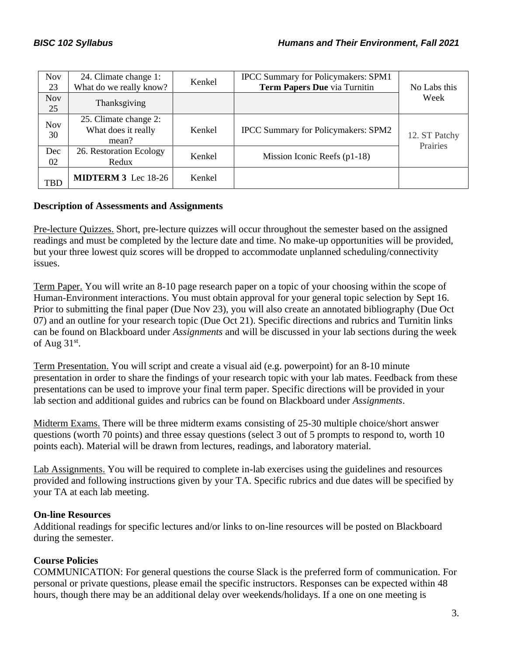| <b>Nov</b><br>23 | 24. Climate change 1:<br>What do we really know?      | Kenkel | IPCC Summary for Policymakers: SPM1<br>Term Papers Due via Turnitin | No Labs this              |
|------------------|-------------------------------------------------------|--------|---------------------------------------------------------------------|---------------------------|
| <b>Nov</b><br>25 | Thanksgiving                                          |        |                                                                     | Week                      |
| <b>Nov</b><br>30 | 25. Climate change 2:<br>What does it really<br>mean? | Kenkel | <b>IPCC Summary for Policymakers: SPM2</b>                          | 12. ST Patchy<br>Prairies |
| Dec<br>02        | 26. Restoration Ecology<br>Redux                      | Kenkel | Mission Iconic Reefs $(p1-18)$                                      |                           |
| <b>TBD</b>       | <b>MIDTERM 3</b> Lec 18-26                            | Kenkel |                                                                     |                           |

#### **Description of Assessments and Assignments**

Pre-lecture Quizzes. Short, pre-lecture quizzes will occur throughout the semester based on the assigned readings and must be completed by the lecture date and time. No make-up opportunities will be provided, but your three lowest quiz scores will be dropped to accommodate unplanned scheduling/connectivity issues.

Term Paper. You will write an 8-10 page research paper on a topic of your choosing within the scope of Human-Environment interactions. You must obtain approval for your general topic selection by Sept 16. Prior to submitting the final paper (Due Nov 23), you will also create an annotated bibliography (Due Oct 07) and an outline for your research topic (Due Oct 21). Specific directions and rubrics and Turnitin links can be found on Blackboard under *Assignments* and will be discussed in your lab sections during the week of Aug  $31<sup>st</sup>$ .

Term Presentation. You will script and create a visual aid (e.g. powerpoint) for an 8-10 minute presentation in order to share the findings of your research topic with your lab mates. Feedback from these presentations can be used to improve your final term paper. Specific directions will be provided in your lab section and additional guides and rubrics can be found on Blackboard under *Assignments*.

Midterm Exams. There will be three midterm exams consisting of 25-30 multiple choice/short answer questions (worth 70 points) and three essay questions (select 3 out of 5 prompts to respond to, worth 10 points each). Material will be drawn from lectures, readings, and laboratory material.

Lab Assignments. You will be required to complete in-lab exercises using the guidelines and resources provided and following instructions given by your TA. Specific rubrics and due dates will be specified by your TA at each lab meeting.

#### **On-line Resources**

Additional readings for specific lectures and/or links to on-line resources will be posted on Blackboard during the semester.

# **Course Policies**

COMMUNICATION: For general questions the course Slack is the preferred form of communication. For personal or private questions, please email the specific instructors. Responses can be expected within 48 hours, though there may be an additional delay over weekends/holidays. If a one on one meeting is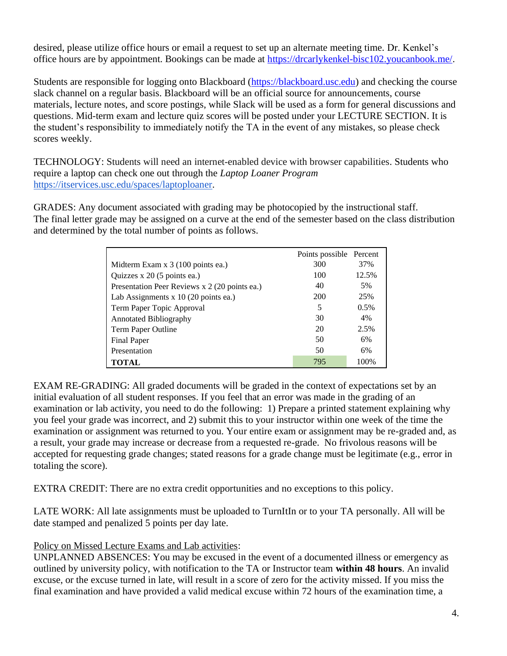desired, please utilize office hours or email a request to set up an alternate meeting time. Dr. Kenkel's office hours are by appointment. Bookings can be made at [https://drcarlykenkel-bisc102.youcanbook.me/.](https://drcarlykenkel-bisc102.youcanbook.me/)

Students are responsible for logging onto Blackboard [\(https://blackboard.usc.edu\)](https://blackboard.usc.edu/) and checking the course slack channel on a regular basis. Blackboard will be an official source for announcements, course materials, lecture notes, and score postings, while Slack will be used as a form for general discussions and questions. Mid-term exam and lecture quiz scores will be posted under your LECTURE SECTION. It is the student's responsibility to immediately notify the TA in the event of any mistakes, so please check scores weekly.

TECHNOLOGY: Students will need an internet-enabled device with browser capabilities. Students who require a laptop can check one out through the *Laptop Loaner Program* https://itservices.usc.edu/spaces/laptoploaner.

GRADES: Any document associated with grading may be photocopied by the instructional staff. The final letter grade may be assigned on a curve at the end of the semester based on the class distribution and determined by the total number of points as follows.

|                                               | Points possible Percent |       |
|-----------------------------------------------|-------------------------|-------|
| Midterm Exam x 3 (100 points ea.)             | 300                     | 37%   |
| Quizzes x 20 (5 points ea.)                   | 100                     | 12.5% |
| Presentation Peer Reviews x 2 (20 points ea.) | 40                      | 5%    |
| Lab Assignments x 10 (20 points ea.)          | 200                     | 25%   |
| Term Paper Topic Approval                     | 5                       | 0.5%  |
| <b>Annotated Bibliography</b>                 | 30                      | 4%    |
| Term Paper Outline                            | 20                      | 2.5%  |
| Final Paper                                   | 50                      | 6%    |
| Presentation                                  | 50                      | 6%    |
| <b>TOTAL</b>                                  | 795                     | 100%  |

EXAM RE-GRADING: All graded documents will be graded in the context of expectations set by an initial evaluation of all student responses. If you feel that an error was made in the grading of an examination or lab activity, you need to do the following: 1) Prepare a printed statement explaining why you feel your grade was incorrect, and 2) submit this to your instructor within one week of the time the examination or assignment was returned to you. Your entire exam or assignment may be re-graded and, as a result, your grade may increase or decrease from a requested re-grade. No frivolous reasons will be accepted for requesting grade changes; stated reasons for a grade change must be legitimate (e.g., error in totaling the score).

EXTRA CREDIT: There are no extra credit opportunities and no exceptions to this policy.

LATE WORK: All late assignments must be uploaded to TurnItIn or to your TA personally. All will be date stamped and penalized 5 points per day late.

#### Policy on Missed Lecture Exams and Lab activities:

UNPLANNED ABSENCES: You may be excused in the event of a documented illness or emergency as outlined by university policy, with notification to the TA or Instructor team **within 48 hours**. An invalid excuse, or the excuse turned in late, will result in a score of zero for the activity missed. If you miss the final examination and have provided a valid medical excuse within 72 hours of the examination time, a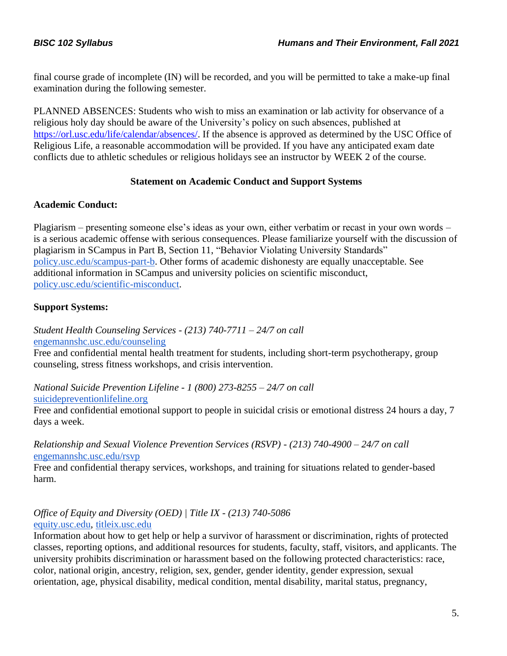final course grade of incomplete (IN) will be recorded, and you will be permitted to take a make-up final examination during the following semester.

PLANNED ABSENCES: Students who wish to miss an examination or lab activity for observance of a religious holy day should be aware of the University's policy on such absences, published at [https://orl.usc.edu/life/calendar/absences/.](https://orl.usc.edu/life/calendar/absences/) If the absence is approved as determined by the USC Office of Religious Life, a reasonable accommodation will be provided. If you have any anticipated exam date conflicts due to athletic schedules or religious holidays see an instructor by WEEK 2 of the course.

## **Statement on Academic Conduct and Support Systems**

## **Academic Conduct:**

Plagiarism – presenting someone else's ideas as your own, either verbatim or recast in your own words – is a serious academic offense with serious consequences. Please familiarize yourself with the discussion of plagiarism in SCampus in Part B, Section 11, "Behavior Violating University Standards" [policy.usc.edu/scampus-part-b.](https://policy.usc.edu/scampus-part-b/) Other forms of academic dishonesty are equally unacceptable. See additional information in SCampus and university policies on scientific misconduct, [policy.usc.edu/scientific-misconduct.](http://policy.usc.edu/scientific-misconduct)

# **Support Systems:**

*Student Health Counseling Services - (213) 740-7711 – 24/7 on call* [engemannshc.usc.edu/counseling](https://engemannshc.usc.edu/counseling/)

Free and confidential mental health treatment for students, including short-term psychotherapy, group [co](https://engemannshc.usc.edu/counseling/)unseling, stress fitness workshops, and crisis intervention.

*National Suicide Prevention Lifeline - 1 (800) 273-8255 – 24/7 on call* [suicidepreventionlifeline.org](http://www.suicidepreventionlifeline.org/)

Free and confidential emotional support to people in suicidal crisis or emotional distress 24 hours a day, 7 [da](http://www.suicidepreventionlifeline.org/)ys a week.

*Relationship and Sexual Violence Prevention Services (RSVP) - (213) 740-4900 – 24/7 on call* [engemannshc.usc.edu/rsvp](https://engemannshc.usc.edu/rsvp/)

Free and confidential therapy services, workshops, and training for situations related to gender-based [ha](https://engemannshc.usc.edu/rsvp/)rm.

#### *Office of Equity and Diversity (OED) | Title IX - (213) 740-5086* [equity.usc.edu,](https://equity.usc.edu/) [titleix.usc.edu](http://titleix.usc.edu/)

Information about how to get help or help a survivor of harassment or discrimination, rights of protected classes, reporting options, and additional resources for students, faculty, staff, visitors, and applicants. The university prohibits discrimination or harassment based on the following protected characteristics: race, color, national origin, ancestry, religion, sex, gender, gender identity, gender expression, sexual orientation, age, physical disability, medical condition, mental disability, marital status, pregnancy,